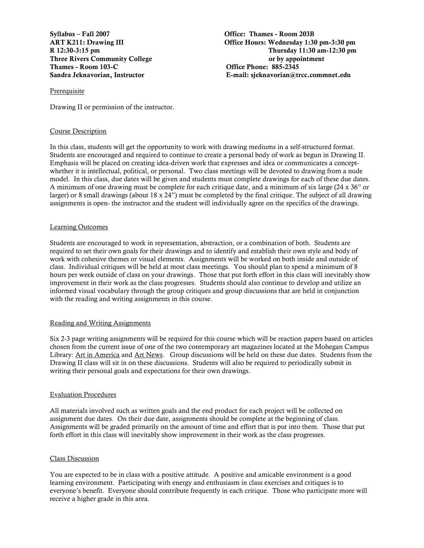Syllabus – Fall 2007 Office: Thames - Room 203B Thames - Room 103-C <br>
Communication Contract Communication Communication Communication Communication Communication Communication Communication Communication Communication Communication Communication Communication Communica

ART K211: Drawing III Office Hours: Wednesday 1:30 pm-3:30 pm R 12:30-3:15 pm Thursday 11:30 am-12:30 pm Three Rivers Community College **or by appointment** or by appointment Sandra Jeknavorian, Instructor **E-mail: sjeknavorian@trcc.commnet.edu** 

# Prerequisite

Drawing II or permission of the instructor.

## Course Description

In this class, students will get the opportunity to work with drawing mediums in a self-structured format. Students are encouraged and required to continue to create a personal body of work as begun in Drawing II. Emphasis will be placed on creating idea-driven work that expresses and idea or communicates a conceptwhether it is intellectual, political, or personal. Two class meetings will be devoted to drawing from a nude model. In this class, due dates will be given and students must complete drawings for each of these due dates. A minimum of one drawing must be complete for each critique date, and a minimum of six large (24 x 36" or larger) or 8 small drawings (about 18 x 24") must be completed by the final critique. The subject of all drawing assignments is open- the instructor and the student will individually agree on the specifics of the drawings.

# Learning Outcomes

Students are encouraged to work in representation, abstraction, or a combination of both. Students are required to set their own goals for their drawings and to identify and establish their own style and body of work with cohesive themes or visual elements. Assignments will be worked on both inside and outside of class. Individual critiques will be held at most class meetings. You should plan to spend a minimum of 8 hours per week outside of class on your drawings. Those that put forth effort in this class will inevitably show improvement in their work as the class progresses. Students should also continue to develop and utilize an informed visual vocabulary through the group critiques and group discussions that are held in conjunction with the reading and writing assignments in this course.

# Reading and Writing Assignments

Six 2-3 page writing assignments will be required for this course which will be reaction papers based on articles chosen from the current issue of one of the two contemporary art magazines located at the Mohegan Campus Library: Art in America and Art News. Group discussions will be held on these due dates. Students from the Drawing II class will sit in on these discussions. Students will also be required to periodically submit in writing their personal goals and expectations for their own drawings.

### Evaluation Procedures

All materials involved such as written goals and the end product for each project will be collected on assignment due dates. On their due date, assignments should be complete at the beginning of class. Assignments will be graded primarily on the amount of time and effort that is put into them. Those that put forth effort in this class will inevitably show improvement in their work as the class progresses.

### Class Discussion

You are expected to be in class with a positive attitude. A positive and amicable environment is a good learning environment. Participating with energy and enthusiasm in class exercises and critiques is to everyone's benefit. Everyone should contribute frequently in each critique. Those who participate more will receive a higher grade in this area.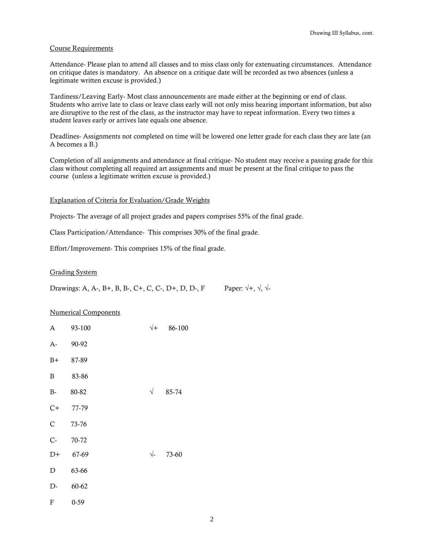# Course Requirements

Attendance- Please plan to attend all classes and to miss class only for extenuating circumstances. Attendance on critique dates is mandatory. An absence on a critique date will be recorded as two absences (unless a legitimate written excuse is provided.)

Tardiness/Leaving Early- Most class announcements are made either at the beginning or end of class. Students who arrive late to class or leave class early will not only miss hearing important information, but also are disruptive to the rest of the class, as the instructor may have to repeat information. Every two times a student leaves early or arrives late equals one absence.

Deadlines- Assignments not completed on time will be lowered one letter grade for each class they are late (an A becomes a B.)

Completion of all assignments and attendance at final critique- No student may receive a passing grade for this class without completing all required art assignments and must be present at the final critique to pass the course (unless a legitimate written excuse is provided.)

# Explanation of Criteria for Evaluation/Grade Weights

Projects- The average of all project grades and papers comprises 55% of the final grade.

Class Participation/Attendance- This comprises 30% of the final grade.

Effort/Improvement- This comprises 15% of the final grade.

## Grading System

Drawings: A, A-, B+, B, B-, C+, C, C-, D+, D, D-, F Paper:  $\sqrt{+}$ ,  $\sqrt{}$ ,  $\sqrt{-}$ 

### Numerical Components

| A                         | 93-100   | $\sqrt{+}$           | 86-100 |
|---------------------------|----------|----------------------|--------|
| A-                        | 90-92    |                      |        |
| $B+$                      | 87-89    |                      |        |
| B                         | 83-86    |                      |        |
| $B-$                      | 80-82    | $\sqrt{}$            | 85-74  |
| $C+$                      | 77-79    |                      |        |
| $\mathsf{C}$              | 73-76    |                      |        |
| $C -$                     | 70-72    |                      |        |
| $D+$                      | 67-69    | $\sqrt{\phantom{a}}$ | 73-60  |
| $\mathbf D$               | 63-66    |                      |        |
| D-                        | 60-62    |                      |        |
| $\boldsymbol{\mathrm{F}}$ | $0 - 59$ |                      |        |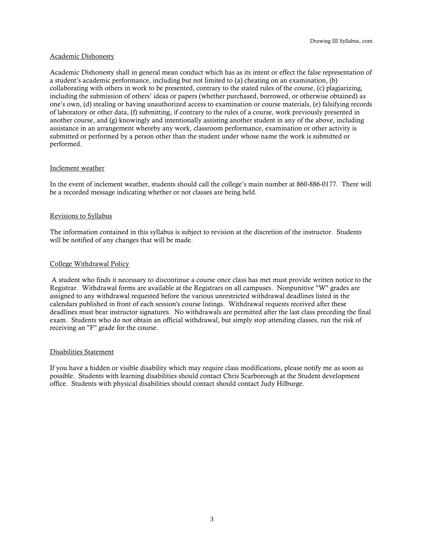# Academic Dishonesty

Academic Dishonesty shall in general mean conduct which has as its intent or effect the false representation of a student's academic performance, including but not limited to (a) cheating on an examination, (b) collaborating with others in work to be presented, contrary to the stated rules of the course, (c) plagiarizing, including the submission of others' ideas or papers (whether purchased, borrowed, or otherwise obtained) as one's own, (d) stealing or having unauthorized access to examination or course materials, (e) falsifying records of laboratory or other data, (f) submitting, if contrary to the rules of a course, work previously presented in another course, and (g) knowingly and intentionally assisting another student in any of the above, including assistance in an arrangement whereby any work, classroom performance, examination or other activity is submitted or performed by a person other than the student under whose name the work is submitted or performed.

### Inclement weather

In the event of inclement weather, students should call the college's main number at 860-886-0177. There will be a recorded message indicating whether or not classes are being held.

# Revisions to Syllabus

The information contained in this syllabus is subject to revision at the discretion of the instructor. Students will be notified of any changes that will be made.

# College Withdrawal Policy

A student who finds it necessary to discontinue a course once class has met must provide written notice to the Registrar. Withdrawal forms are available at the Registrars on all campuses. Nonpunitive "W" grades are assigned to any withdrawal requested before the various unrestricted withdrawal deadlines listed in the calendars published in front of each session's course listings. Withdrawal requests received after these deadlines must bear instructor signatures. No withdrawals are permitted after the last class preceding the final exam. Students who do not obtain an official withdrawal, but simply stop attending classes, run the risk of receiving an "F" grade for the course.

### Disabilities Statement

If you have a hidden or visible disability which may require class modifications, please notify me as soon as possible. Students with learning disabilities should contact Chris Scarborough at the Student development office. Students with physical disabilities should contact should contact Judy Hilburge.